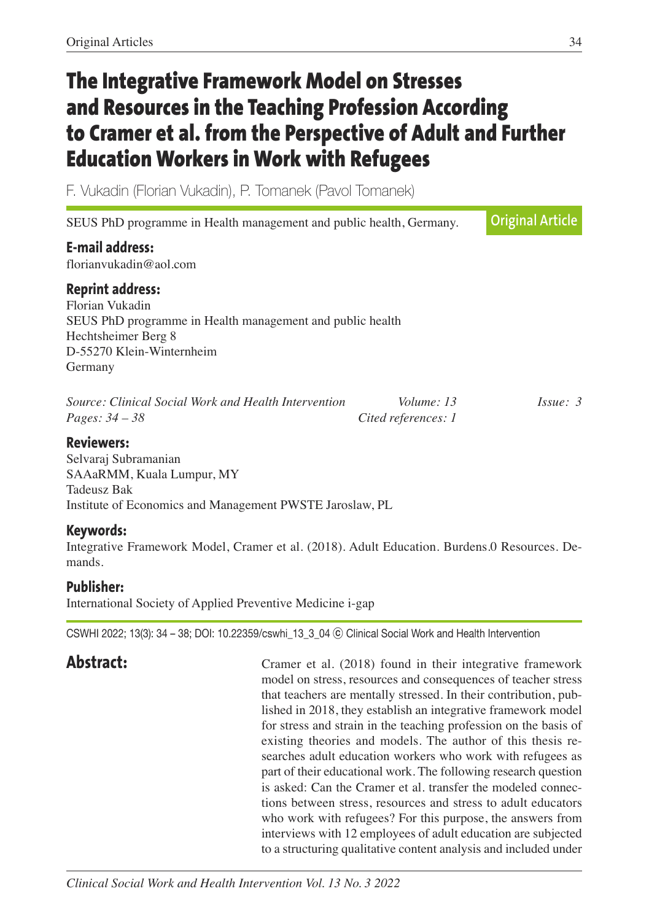# **The Integrative Framework Model on Stresses and Resources in the Teaching Profession According to Cramer et al. from the Perspective of Adult and Further Education Workers in Work with Refugees**

F. Vukadin (Florian Vukadin), P. Tomanek (Pavol Tomanek)

| SEUS PhD programme in Health management and public health, Germany.                                                                                                    | <b>Original Article</b>           |         |
|------------------------------------------------------------------------------------------------------------------------------------------------------------------------|-----------------------------------|---------|
| <b>E-mail address:</b><br>florianvukadin@aol.com                                                                                                                       |                                   |         |
| <b>Reprint address:</b><br>Florian Vukadin<br>SEUS PhD programme in Health management and public health<br>Hechtsheimer Berg 8<br>D-55270 Klein-Winternheim<br>Germany |                                   |         |
| Source: Clinical Social Work and Health Intervention<br><i>Pages:</i> $34 - 38$                                                                                        | Volume: 13<br>Cited references: 1 | Isue: 3 |

## **Reviewers:**

Selvaraj Subramanian SAAaRMM, Kuala Lumpur, MY Tadeusz Bak Institute of Economics and Management PWSTE Jaroslaw, PL

# **Keywords:**

Integrative Framework Model, Cramer et al. (2018). Adult Education. Burdens.0 Resources. Demands.

# **Publisher:**

International Society of Applied Preventive Medicine i-gap

CSWHI 2022; 13(3): 34 – 38; DOI: 10.22359/cswhi\_13\_3\_04 ⓒ Clinical Social Work and Health Intervention

Abstract: Cramer et al. (2018) found in their integrative framework model on stress, resources and consequences of teacher stress that teachers are mentally stressed. In their contribution, published in 2018, they establish an integrative framework model for stress and strain in the teaching profession on the basis of existing theories and models. The author of this thesis researches adult education workers who work with refugees as part of their educational work. The following research question is asked: Can the Cramer et al. transfer the modeled connections between stress, resources and stress to adult educators who work with refugees? For this purpose, the answers from interviews with 12 employees of adult education are subjected to a structuring qualitative content analysis and included under

*Clinical Social Work and Health Intervention Vol. 13 No. 3 2022*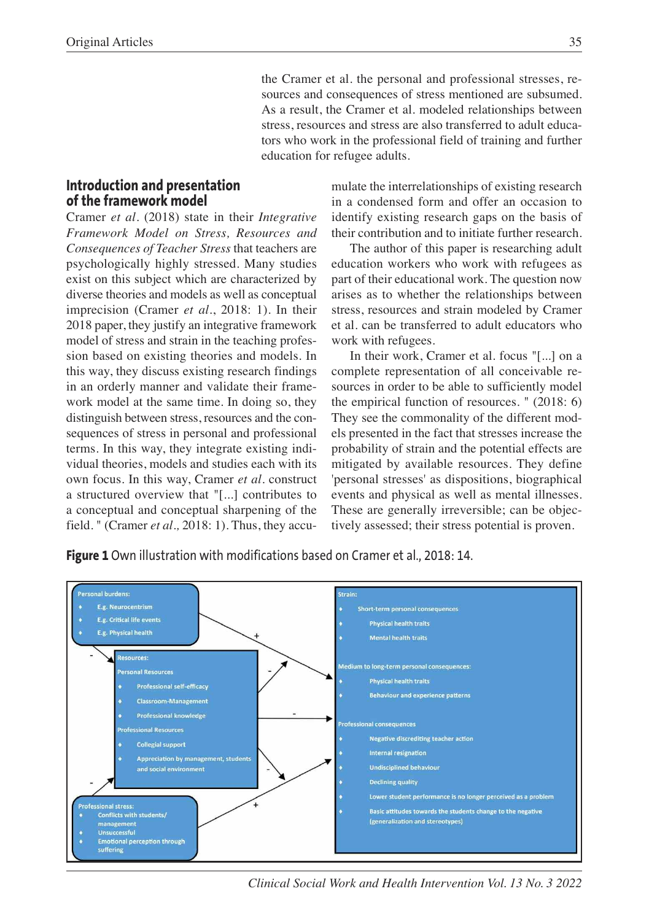the Cramer et al. the personal and professional stresses, resources and consequences of stress mentioned are subsumed. As a result, the Cramer et al. modeled relationships between stress, resources and stress are also transferred to adult educators who work in the professional field of training and further education for refugee adults.

#### **Introduction and presentation of the framework model**

Cramer *et al.* (2018) state in their *Integrative Framework Model on Stress, Resources and Consequences of Teacher Stress* that teachers are psychologically highly stressed. Many studies exist on this subject which are characterized by diverse theories and models as well as conceptual imprecision (Cramer *et al*., 2018: 1). In their 2018 paper, they justify an integrative framework model of stress and strain in the teaching profession based on existing theories and models. In this way, they discuss existing research findings in an orderly manner and validate their framework model at the same time. In doing so, they distinguish between stress, resources and the consequences of stress in personal and professional terms. In this way, they integrate existing individual theories, models and studies each with its own focus. In this way, Cramer *et al.* construct a structured overview that "[...] contributes to a conceptual and conceptual sharpening of the field. " (Cramer *et al.,* 2018: 1). Thus, they accumulate the interrelationships of existing research in a condensed form and offer an occasion to identify existing research gaps on the basis of their contribution and to initiate further research.

The author of this paper is researching adult education workers who work with refugees as part of their educational work. The question now arises as to whether the relationships between stress, resources and strain modeled by Cramer et al. can be transferred to adult educators who work with refugees.

In their work, Cramer et al. focus "[...] on a complete representation of all conceivable resources in order to be able to sufficiently model the empirical function of resources. " (2018: 6) They see the commonality of the different models presented in the fact that stresses increase the probability of strain and the potential effects are mitigated by available resources. They define 'personal stresses' as dispositions, biographical events and physical as well as mental illnesses. These are generally irreversible; can be objectively assessed; their stress potential is proven.

**Figure 1** Own illustration with modifications based on Cramer et al., 2018: 14.



*Clinical Social Work and Health Intervention Vol. 13 No. 3 2022*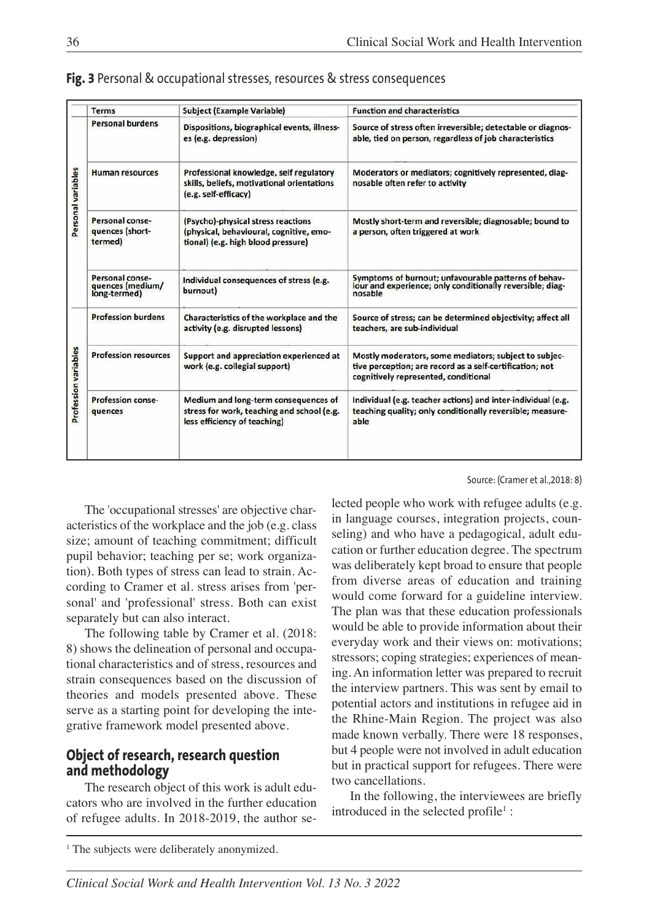|                      | <b>Terms</b>                                        | Subject (Example Variable)                                                                                          | <b>Function and characteristics</b>                                                                                                                       |
|----------------------|-----------------------------------------------------|---------------------------------------------------------------------------------------------------------------------|-----------------------------------------------------------------------------------------------------------------------------------------------------------|
| Personal variables   | <b>Personal burdens</b>                             | Dispositions, biographical events, illness-<br>es (e.g. depression)                                                 | Source of stress often irreversible; detectable or diagnos-<br>able, tied on person, regardless of job characteristics                                    |
|                      | <b>Human resources</b>                              | Professional knowledge, self regulatory<br>skills, beliefs, motivational orientations<br>(e.g. self-efficacy)       | Moderators or mediators; cognitively represented, diag-<br>nosable often refer to activity                                                                |
|                      | Personal conse-<br>quences (short-<br>termed)       | (Psycho)-physical stress reactions<br>(physical, behavioural, cognitive, emo-<br>tional) (e.g. high blood pressure) | Mostly short-term and reversible; diagnosable; bound to<br>a person, often triggered at work                                                              |
|                      | Personal conse-<br>quences (medium/<br>long-termed) | Individual consequences of stress (e.g.<br>burnout)                                                                 | Symptoms of burnout; unfavourable patterns of behaviour and experience; only conditionally reversible; diag-<br>nosable                                   |
| Profession variables | <b>Profession burdens</b>                           | Characteristics of the workplace and the<br>activity (e.g. disrupted lessons)                                       | Source of stress; can be determined objectivity; affect all<br>teachers, are sub-individual                                                               |
|                      | <b>Profession resources</b>                         | Support and appreciation experienced at<br>work (e.g. collegial support)                                            | Mostly moderators, some mediators; subject to subjec-<br>tive perception; are record as a self-certification; not<br>cognitively represented, conditional |
|                      | <b>Profession conse-</b><br>quences                 | Medium and long-term consequences of<br>stress for work, teaching and school (e.g.<br>less efficiency of teaching)  | Individual (e.g. teacher actions) and inter-individual (e.g.<br>teaching quality; only conditionally reversible; measure-<br>able                         |

**Fig. 3** Personal & occupational stresses, resources & stress consequences

Source: (Cramer et al.,2018: 8)

The 'occupational stresses' are objective characteristics of the workplace and the job (e.g. class size; amount of teaching commitment; difficult pupil behavior; teaching per se; work organization). Both types of stress can lead to strain. According to Cramer et al. stress arises from 'personal' and 'professional' stress. Both can exist separately but can also interact.

The following table by Cramer et al. (2018: 8) shows the delineation of personal and occupational characteristics and of stress, resources and strain consequences based on the discussion of theories and models presented above. These serve as a starting point for developing the integrative framework model presented above.

# **Object of research, research question and methodology**

The research object of this work is adult educators who are involved in the further education of refugee adults. In 2018-2019, the author selected people who work with refugee adults (e.g. in language courses, integration projects, counseling) and who have a pedagogical, adult education or further education degree. The spectrum was deliberately kept broad to ensure that people from diverse areas of education and training would come forward for a guideline interview. The plan was that these education professionals would be able to provide information about their everyday work and their views on: motivations; stressors; coping strategies; experiences of meaning. An information letter was prepared to recruit the interview partners. This was sent by email to potential actors and institutions in refugee aid in the Rhine-Main Region. The project was also made known verbally. There were 18 responses, but 4 people were not involved in adult education but in practical support for refugees. There were two cancellations.

In the following, the interviewees are briefly introduced in the selected profile<sup>1</sup>:

<sup>1</sup> The subjects were deliberately anonymized.

*Clinical Social Work and Health Intervention Vol. 13 No. 3 2022*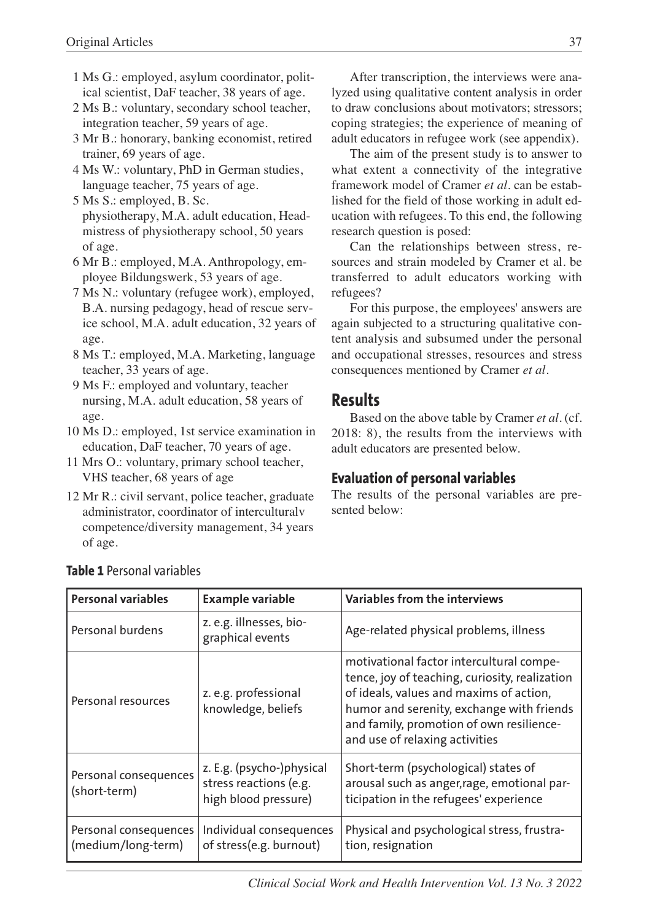- 1 Ms G.: employed, asylum coordinator, political scientist, DaF teacher, 38 years of age.
- 2 Ms B.: voluntary, secondary school teacher, integration teacher, 59 years of age.
- 3 Mr B.: honorary, banking economist, retired trainer, 69 years of age.
- 4 Ms W.: voluntary, PhD in German studies, language teacher, 75 years of age.
- 5 Ms S.: employed, B. Sc. physiotherapy, M.A. adult education, Headmistress of physiotherapy school, 50 years of age.
- 6 Mr B.: employed, M.A. Anthropology, employee Bildungswerk, 53 years of age.
- 7 Ms N.: voluntary (refugee work), employed, B.A. nursing pedagogy, head of rescue service school, M.A. adult education, 32 years of age.
- 8 Ms T.: employed, M.A. Marketing, language teacher, 33 years of age.
- 9 Ms F.: employed and voluntary, teacher nursing, M.A. adult education, 58 years of age.
- 10 Ms D.: employed, 1st service examination in education, DaF teacher, 70 years of age.
- 11 Mrs O.: voluntary, primary school teacher, VHS teacher, 68 years of age
- 12 Mr R.: civil servant, police teacher, graduate administrator, coordinator of interculturalv competence/diversity management, 34 years of age.

After transcription, the interviews were analyzed using qualitative content analysis in order to draw conclusions about motivators; stressors; coping strategies; the experience of meaning of adult educators in refugee work (see appendix).

The aim of the present study is to answer to what extent a connectivity of the integrative framework model of Cramer *et al.* can be established for the field of those working in adult education with refugees. To this end, the following research question is posed:

Can the relationships between stress, resources and strain modeled by Cramer et al. be transferred to adult educators working with refugees?

For this purpose, the employees' answers are again subjected to a structuring qualitative content analysis and subsumed under the personal and occupational stresses, resources and stress consequences mentioned by Cramer *et al.*

# **Results**

Based on the above table by Cramer *et al.* (cf. 2018: 8), the results from the interviews with adult educators are presented below.

# **Evaluation of personal variables**

The results of the personal variables are presented below:

| <b>Personal variables</b>                   | <b>Example variable</b>                                                                                                                                                                                      | Variables from the interviews                                                                                                                                                                                                                                    |
|---------------------------------------------|--------------------------------------------------------------------------------------------------------------------------------------------------------------------------------------------------------------|------------------------------------------------------------------------------------------------------------------------------------------------------------------------------------------------------------------------------------------------------------------|
| Personal burdens                            | z. e.g. illnesses, bio-<br>graphical events                                                                                                                                                                  | Age-related physical problems, illness                                                                                                                                                                                                                           |
| Personal resources                          | z. e.g. professional<br>knowledge, beliefs                                                                                                                                                                   | motivational factor intercultural compe-<br>tence, joy of teaching, curiosity, realization<br>of ideals, values and maxims of action,<br>humor and serenity, exchange with friends<br>and family, promotion of own resilience-<br>and use of relaxing activities |
| Personal consequences<br>(short-term)       | Short-term (psychological) states of<br>z. E.g. (psycho-)physical<br>stress reactions (e.g.<br>arousal such as anger, rage, emotional par-<br>ticipation in the refugees' experience<br>high blood pressure) |                                                                                                                                                                                                                                                                  |
| Personal consequences<br>(medium/long-term) | Individual consequences<br>of stress(e.g. burnout)                                                                                                                                                           | Physical and psychological stress, frustra-<br>tion, resignation                                                                                                                                                                                                 |

# **Table 1** Personal variables